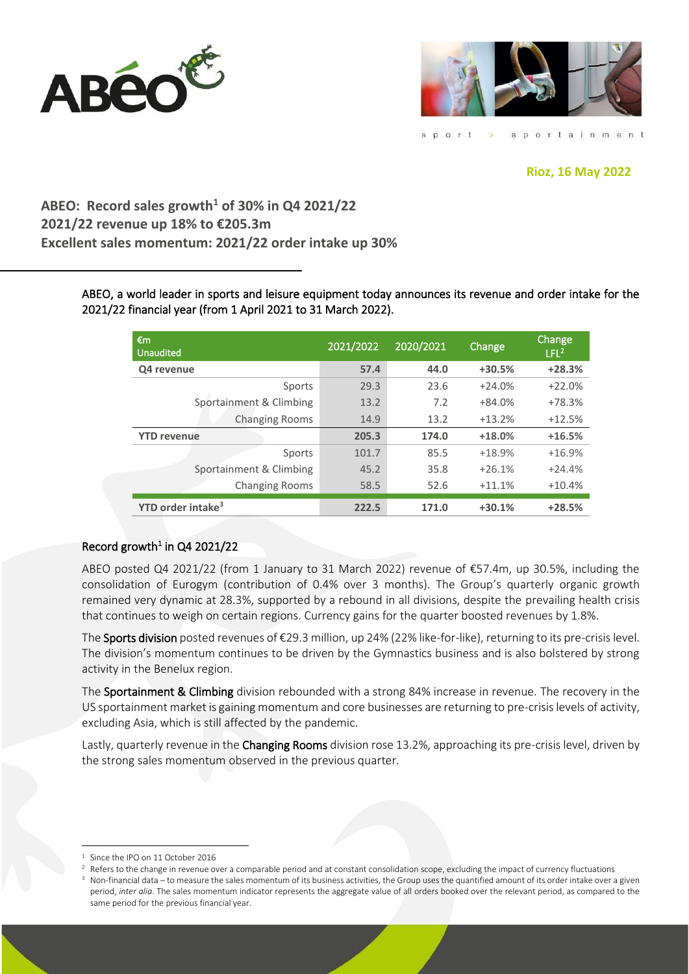



sportainment sport

# **Rioz, 16 May 2022**

**ABEO: Record sales growth<sup>1</sup> of 30% in Q4 2021/22 2021/22 revenue up 18% to €205.3m Excellent sales momentum: 2021/22 order intake up 30%**

> ABEO, a world leader in sports and leisure equipment today announces its revenue and order intake for the 2021/22 financial year (from 1 April 2021 to 31 March 2022).

| €m<br><b>Unaudited</b>        | 2021/2022 | 2020/2021 | Change   | Change<br>LFL <sup>2</sup> |
|-------------------------------|-----------|-----------|----------|----------------------------|
| Q4 revenue                    | 57.4      | 44.0      | $+30.5%$ | $+28.3%$                   |
| Sports                        | 29.3      | 23.6      | $+24.0%$ | $+22.0%$                   |
| Sportainment & Climbing       | 13.2      | 7.2       | $+84.0%$ | $+78.3%$                   |
| <b>Changing Rooms</b>         | 14.9      | 13.2      | $+13.2%$ | $+12.5%$                   |
| <b>YTD revenue</b>            | 205.3     | 174.0     | $+18.0%$ | $+16.5%$                   |
| Sports                        | 101.7     | 85.5      | $+18.9%$ | $+16.9%$                   |
| Sportainment & Climbing       | 45.2      | 35.8      | $+26.1%$ | $+24.4%$                   |
| <b>Changing Rooms</b>         | 58.5      | 52.6      | $+11.1%$ | $+10.4%$                   |
| YTD order intake <sup>3</sup> | 222.5     | 171.0     | $+30.1%$ | $+28.5%$                   |

# Record growth<sup>1</sup> in Q4 2021/22

ABEO posted Q4 2021/22 (from 1 January to 31 March 2022) revenue of €57.4m, up 30.5%, including the consolidation of Eurogym (contribution of 0.4% over 3 months). The Group's quarterly organic growth remained very dynamic at 28.3%, supported by a rebound in all divisions, despite the prevailing health crisis that continues to weigh on certain regions. Currency gains for the quarter boosted revenues by 1.8%.

The Sports division posted revenues of €29.3 million, up 24% (22% like-for-like), returning to its pre-crisis level. The division's momentum continues to be driven by the Gymnastics business and is also bolstered by strong activity in the Benelux region.

The Sportainment & Climbing division rebounded with a strong 84% increase in revenue. The recovery in the US sportainment market is gaining momentum and core businesses are returning to pre-crisis levels of activity, excluding Asia, which is still affected by the pandemic.

Lastly, quarterly revenue in the Changing Rooms division rose 13.2%, approaching its pre-crisis level, driven by the strong sales momentum observed in the previous quarter.

Since the IPO on 11 October 2016

<sup>2</sup> Refers to the change in revenue over a comparable period and at constant consolidation scope, excluding the impact of currency fluctuations

Non-financial data – to measure the sales momentum of its business activities, the Group uses the quantified amount of its order intake over a given period, *inter alia*. The sales momentum indicator represents the aggregate value of all orders booked over the relevant period, as compared to the same period for the previous financial year.